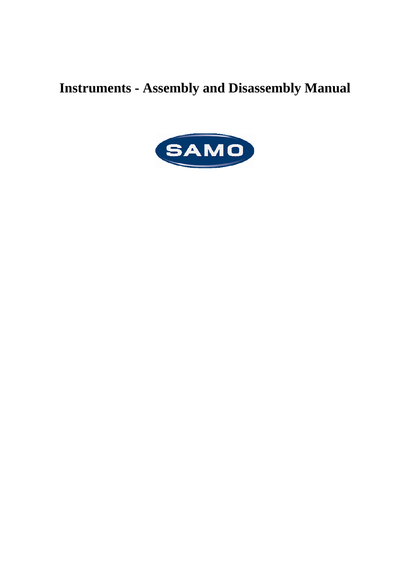## **Instruments - Assembly and Disassembly Manual**

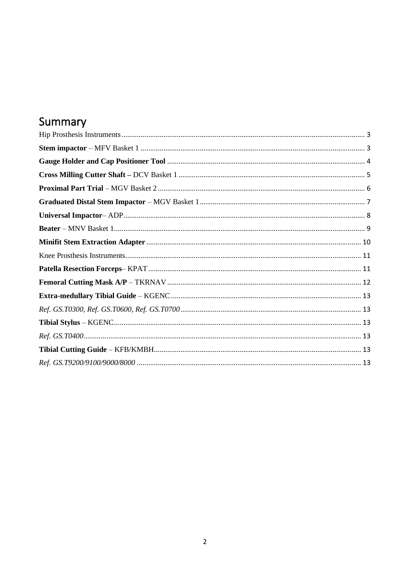### Summary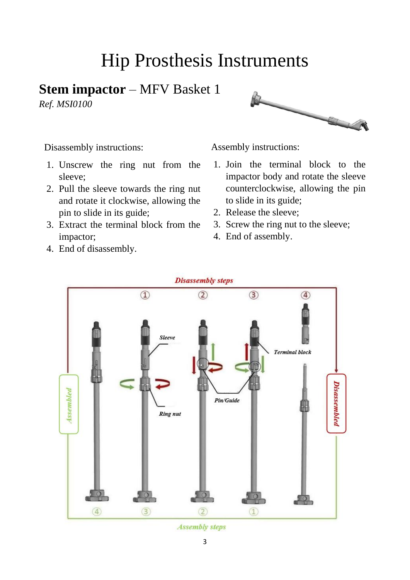# Hip Prosthesis Instruments

#### <span id="page-2-1"></span><span id="page-2-0"></span>**Stem impactor** – MFV Basket 1

*Ref. MSI0100*



Disassembly instructions:

- 1. Unscrew the ring nut from the sleeve;
- 2. Pull the sleeve towards the ring nut and rotate it clockwise, allowing the pin to slide in its guide;
- 3. Extract the terminal block from the impactor;
- 4. End of disassembly.

- 1. Join the terminal block to the impactor body and rotate the sleeve counterclockwise, allowing the pin to slide in its guide;
- 2. Release the sleeve;
- 3. Screw the ring nut to the sleeve;
- 4. End of assembly.



**Assembly steps**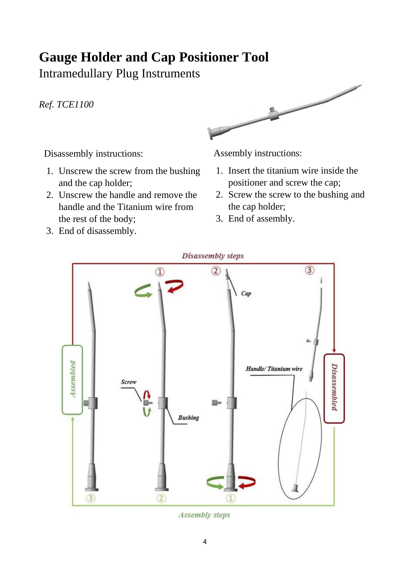### <span id="page-3-0"></span>**Gauge Holder and Cap Positioner Tool**

Intramedullary Plug Instruments

*Ref. TCE1100*



Disassembly instructions:

- 1. Unscrew the screw from the bushing and the cap holder;
- 2. Unscrew the handle and remove the handle and the Titanium wire from the rest of the body;
- Assembly instructions:
- 1. Insert the titanium wire inside the positioner and screw the cap;
- 2. Screw the screw to the bushing and the cap holder;
- 3. End of assembly.

3. End of disassembly.



**Assembly steps**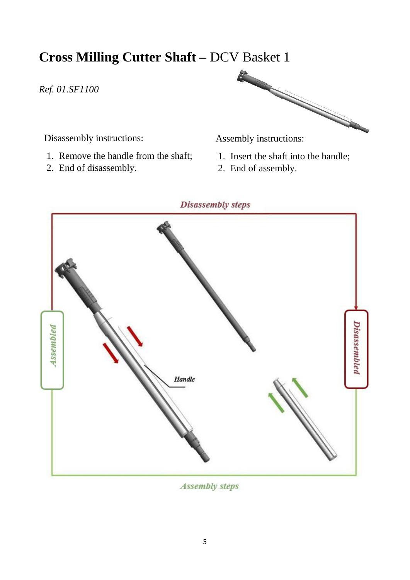#### <span id="page-4-0"></span>**Cross Milling Cutter Shaft –** DCV Basket 1

#### *Ref. 01.SF1100*

Disassembly instructions:

- 1. Remove the handle from the shaft;
- 2. End of disassembly.



- 1. Insert the shaft into the handle;
- 2. End of assembly.



**Assembly steps**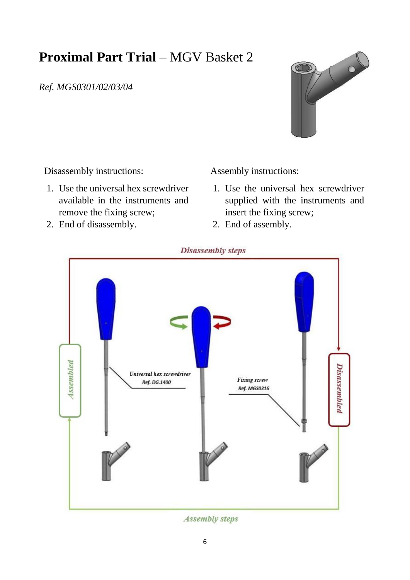### <span id="page-5-0"></span>**Proximal Part Trial** – MGV Basket 2

*Ref. MGS0301/02/03/04* 



Disassembly instructions:

- 1. Use the universal hex screwdriver available in the instruments and remove the fixing screw;
- 2. End of disassembly.

- 1. Use the universal hex screwdriver supplied with the instruments and insert the fixing screw;
- 2. End of assembly.



**Assembly steps**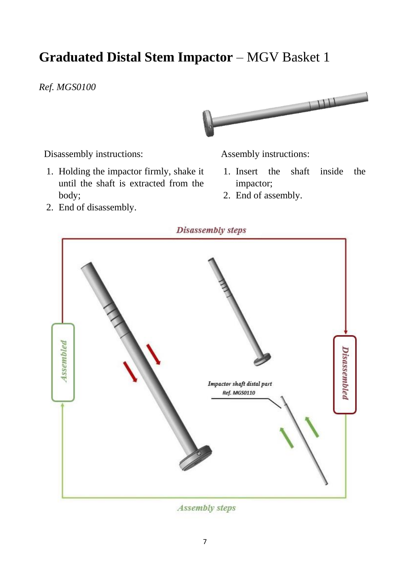### <span id="page-6-0"></span>**Graduated Distal Stem Impactor – MGV Basket 1**

#### *Ref. MGS0100*



Disassembly instructions:

1. Holding the impactor firmly, shake it until the shaft is extracted from the body;

Assembly instructions:

- 1. Insert the shaft inside the impactor;
- 2. End of assembly.

2. End of disassembly.



**Assembly steps**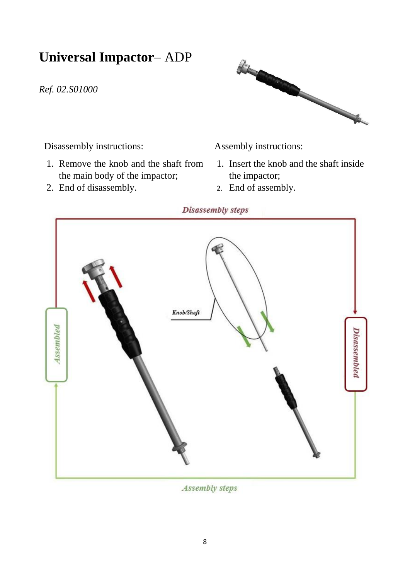#### <span id="page-7-0"></span>**Universal Impactor**– ADP

*Ref. 02.S01000*



Disassembly instructions:

- 1. Remove the knob and the shaft from the main body of the impactor;
- 2. End of disassembly.

Assembly instructions:

- 1. Insert the knob and the shaft inside the impactor;
- 2. End of assembly.

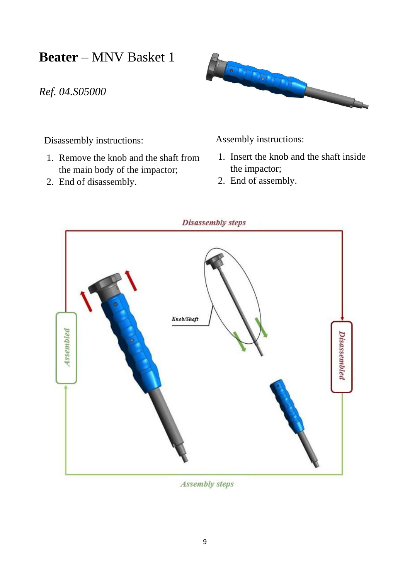<span id="page-8-0"></span>**Beater** – MNV Basket 1

*Ref. 04.S05000*



Disassembly instructions:

- 1. Remove the knob and the shaft from the main body of the impactor;
- 2. End of disassembly.

- 1. Insert the knob and the shaft inside the impactor;
- 2. End of assembly.



**Assembly steps**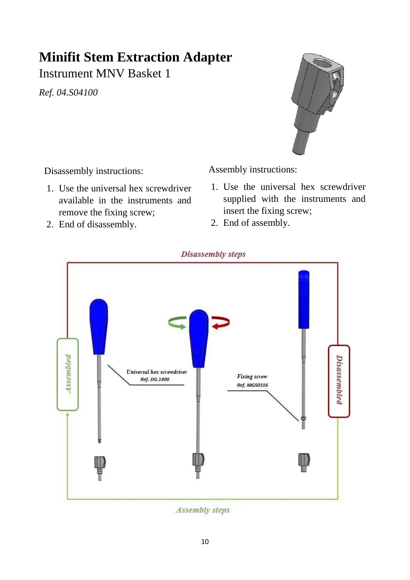## <span id="page-9-0"></span>**Minifit Stem Extraction Adapter**

Instrument MNV Basket 1

*Ref. 04.S04100*



Disassembly instructions:

- 1. Use the universal hex screwdriver available in the instruments and remove the fixing screw;
- 2. End of disassembly.

Assembly instructions:

- 1. Use the universal hex screwdriver supplied with the instruments and insert the fixing screw;
- 2. End of assembly.

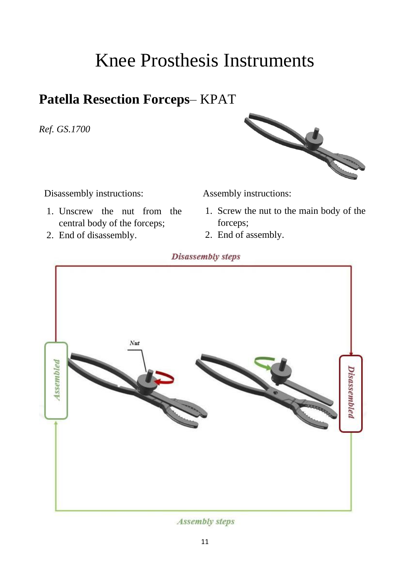# Knee Prosthesis Instruments

#### <span id="page-10-1"></span><span id="page-10-0"></span>**Patella Resection Forceps**– KPAT

*Ref. GS.1700*



Disassembly instructions:

- 1. Unscrew the nut from the central body of the forceps;
- 2. End of disassembly.

Assembly instructions:

- 1. Screw the nut to the main body of the forceps;
- 2. End of assembly.

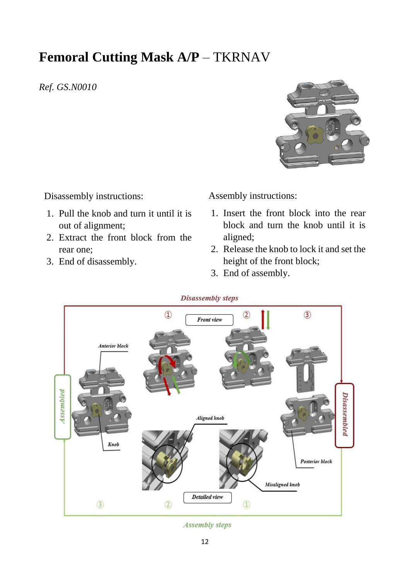#### <span id="page-11-0"></span>**Femoral Cutting Mask A/P** – TKRNAV

*Ref. GS.N0010*



Disassembly instructions:

- 1. Pull the knob and turn it until it is out of alignment;
- 2. Extract the front block from the rear one;
- 3. End of disassembly.

Assembly instructions:

- 1. Insert the front block into the rear block and turn the knob until it is aligned;
- 2. Release the knob to lock it and set the height of the front block;
- 3. End of assembly.

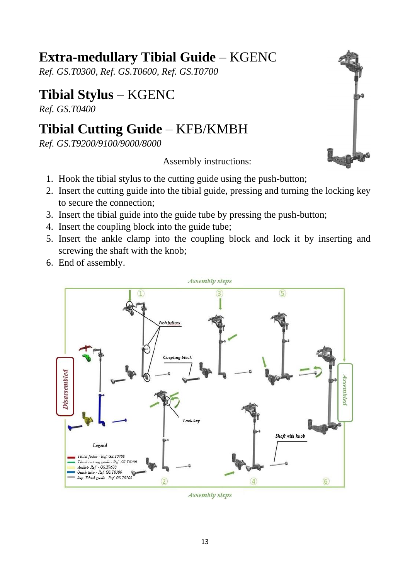#### <span id="page-12-0"></span>**Extra-medullary Tibial Guide** – KGENC

<span id="page-12-1"></span>*Ref. GS.T0300, Ref. GS.T0600, Ref. GS.T0700*

#### <span id="page-12-2"></span>**Tibial Stylus** – KGENC

<span id="page-12-3"></span>*Ref. GS.T0400* 

### <span id="page-12-4"></span>**Tibial Cutting Guide** – KFB/KMBH

<span id="page-12-5"></span>*Ref. GS.T9200/9100/9000/8000*

- 1. Hook the tibial stylus to the cutting guide using the push-button;
- 2. Insert the cutting guide into the tibial guide, pressing and turning the locking key to secure the connection;
- 3. Insert the tibial guide into the guide tube by pressing the push-button;
- 4. Insert the coupling block into the guide tube;
- 5. Insert the ankle clamp into the coupling block and lock it by inserting and screwing the shaft with the knob;
- 6. End of assembly.



**Assembly steps**